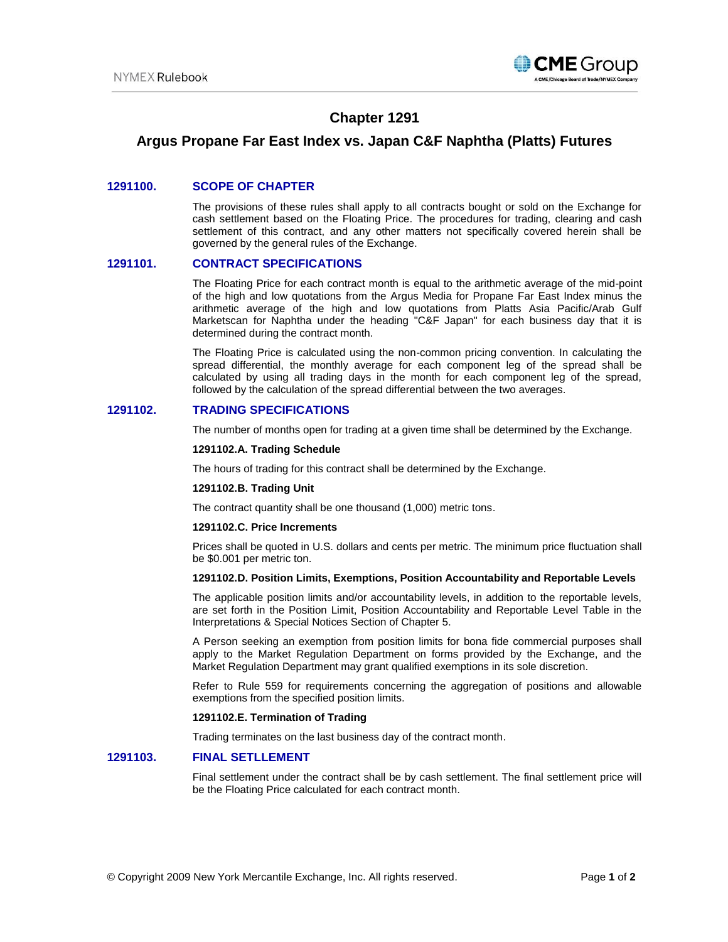

# **Chapter 1291**

# **Argus Propane Far East Index vs. Japan C&F Naphtha (Platts) Futures**

## **1291100. SCOPE OF CHAPTER**

The provisions of these rules shall apply to all contracts bought or sold on the Exchange for cash settlement based on the Floating Price. The procedures for trading, clearing and cash settlement of this contract, and any other matters not specifically covered herein shall be governed by the general rules of the Exchange.

## **1291101. CONTRACT SPECIFICATIONS**

The Floating Price for each contract month is equal to the arithmetic average of the mid-point of the high and low quotations from the Argus Media for Propane Far East Index minus the arithmetic average of the high and low quotations from Platts Asia Pacific/Arab Gulf Marketscan for Naphtha under the heading "C&F Japan" for each business day that it is determined during the contract month.

The Floating Price is calculated using the non-common pricing convention. In calculating the spread differential, the monthly average for each component leg of the spread shall be calculated by using all trading days in the month for each component leg of the spread, followed by the calculation of the spread differential between the two averages.

## **1291102. TRADING SPECIFICATIONS**

The number of months open for trading at a given time shall be determined by the Exchange.

### **1291102.A. Trading Schedule**

The hours of trading for this contract shall be determined by the Exchange.

#### **1291102.B. Trading Unit**

The contract quantity shall be one thousand (1,000) metric tons.

#### **1291102.C. Price Increments**

Prices shall be quoted in U.S. dollars and cents per metric. The minimum price fluctuation shall be \$0.001 per metric ton.

#### **1291102.D. Position Limits, Exemptions, Position Accountability and Reportable Levels**

The applicable position limits and/or accountability levels, in addition to the reportable levels, are set forth in the Position Limit, Position Accountability and Reportable Level Table in the Interpretations & Special Notices Section of Chapter 5.

A Person seeking an exemption from position limits for bona fide commercial purposes shall apply to the Market Regulation Department on forms provided by the Exchange, and the Market Regulation Department may grant qualified exemptions in its sole discretion.

Refer to Rule 559 for requirements concerning the aggregation of positions and allowable exemptions from the specified position limits.

#### **1291102.E. Termination of Trading**

Trading terminates on the last business day of the contract month.

### **1291103. FINAL SETLLEMENT**

Final settlement under the contract shall be by cash settlement. The final settlement price will be the Floating Price calculated for each contract month.